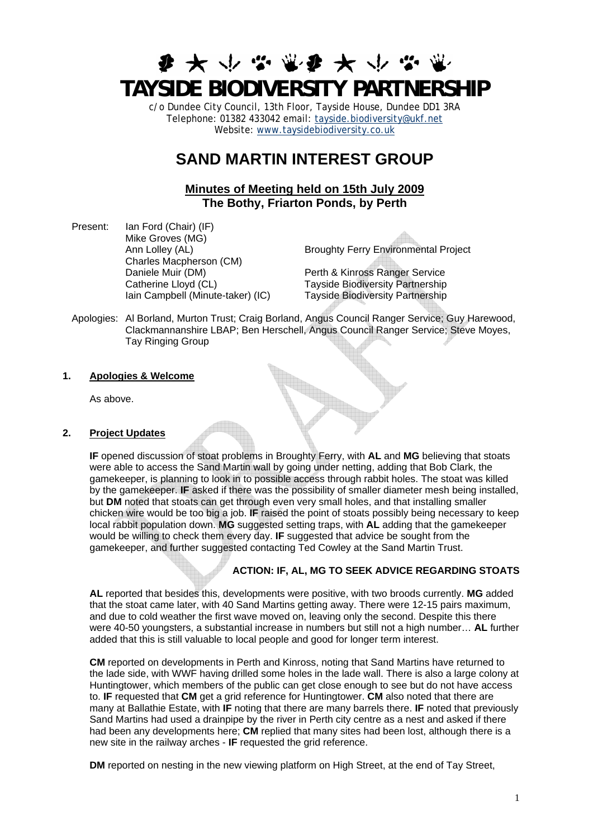# **ま ★ ↓ ☆ ※ま ★ ↓ ☆ TAYSIDE BIODIVERSITY PARTNERSHIP**

c/o Dundee City Council, 13th Floor, Tayside House, Dundee DD1 3RA Telephone: 01382 433042 email: [tayside.biodiversity@ukf.net](mailto:tayside.biodiversity@ukf.net)  Website: [www.taysidebiodiversity.co.uk](http://www.taysidebiodiversity.co.uk/)

# **SAND MARTIN INTEREST GROUP**

# **Minutes of Meeting held on 15th July 2009 The Bothy, Friarton Ponds, by Perth**

Present: Ian Ford (Chair) (IF) Mike Groves (MG) Charles Macpherson (CM) Daniele Muir (DM) Perth & Kinross Ranger Service Catherine Lloyd (CL)<br>
Iain Campbell (Minute-taker) (IC) Tayside Biodiversity Partnership<br>
Tayside Biodiversity Partnership

Ann Lolley (AL) Broughty Ferry Environmental Project

Tayside Biodiversity Partnership

Apologies: Al Borland, Murton Trust; Craig Borland, Angus Council Ranger Service; Guy Harewood, Clackmannanshire LBAP; Ben Herschell, Angus Council Ranger Service; Steve Moyes, Tay Ringing Group

# **1. Apologies & Welcome**

As above.

# **2. Project Updates**

**IF** opened discussion of stoat problems in Broughty Ferry, with **AL** and **MG** believing that stoats were able to access the Sand Martin wall by going under netting, adding that Bob Clark, the gamekeeper, is planning to look in to possible access through rabbit holes. The stoat was killed by the gamekeeper. **IF** asked if there was the possibility of smaller diameter mesh being installed, but **DM** noted that stoats can get through even very small holes, and that installing smaller chicken wire would be too big a job. **IF** raised the point of stoats possibly being necessary to keep local rabbit population down. **MG** suggested setting traps, with **AL** adding that the gamekeeper would be willing to check them every day. **IF** suggested that advice be sought from the gamekeeper, and further suggested contacting Ted Cowley at the Sand Martin Trust.

# **ACTION: IF, AL, MG TO SEEK ADVICE REGARDING STOATS**

**AL** reported that besides this, developments were positive, with two broods currently. **MG** added that the stoat came later, with 40 Sand Martins getting away. There were 12-15 pairs maximum, and due to cold weather the first wave moved on, leaving only the second. Despite this there were 40-50 youngsters, a substantial increase in numbers but still not a high number… **AL** further added that this is still valuable to local people and good for longer term interest.

**CM** reported on developments in Perth and Kinross, noting that Sand Martins have returned to the lade side, with WWF having drilled some holes in the lade wall. There is also a large colony at Huntingtower, which members of the public can get close enough to see but do not have access to. **IF** requested that **CM** get a grid reference for Huntingtower. **CM** also noted that there are many at Ballathie Estate, with **IF** noting that there are many barrels there. **IF** noted that previously Sand Martins had used a drainpipe by the river in Perth city centre as a nest and asked if there had been any developments here; **CM** replied that many sites had been lost, although there is a new site in the railway arches - **IF** requested the grid reference.

**DM** reported on nesting in the new viewing platform on High Street, at the end of Tay Street,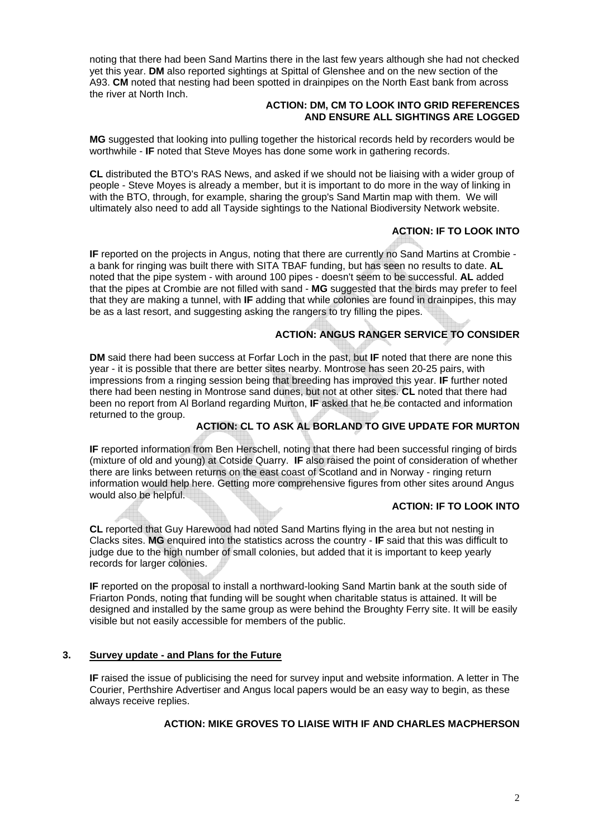noting that there had been Sand Martins there in the last few years although she had not checked yet this year. **DM** also reported sightings at Spittal of Glenshee and on the new section of the A93. **CM** noted that nesting had been spotted in drainpipes on the North East bank from across the river at North Inch.

#### **ACTION: DM, CM TO LOOK INTO GRID REFERENCES AND ENSURE ALL SIGHTINGS ARE LOGGED**

**MG** suggested that looking into pulling together the historical records held by recorders would be worthwhile - **IF** noted that Steve Moyes has done some work in gathering records.

**CL** distributed the BTO's RAS News, and asked if we should not be liaising with a wider group of people - Steve Moyes is already a member, but it is important to do more in the way of linking in with the BTO, through, for example, sharing the group's Sand Martin map with them. We will ultimately also need to add all Tayside sightings to the National Biodiversity Network website.

# **ACTION: IF TO LOOK INTO**

**IF** reported on the projects in Angus, noting that there are currently no Sand Martins at Crombie a bank for ringing was built there with SITA TBAF funding, but has seen no results to date. **AL** noted that the pipe system - with around 100 pipes - doesn't seem to be successful. **AL** added that the pipes at Crombie are not filled with sand - **MG** suggested that the birds may prefer to feel that they are making a tunnel, with **IF** adding that while colonies are found in drainpipes, this may be as a last resort, and suggesting asking the rangers to try filling the pipes.

# **ACTION: ANGUS RANGER SERVICE TO CONSIDER**

**DM** said there had been success at Forfar Loch in the past, but **IF** noted that there are none this year - it is possible that there are better sites nearby. Montrose has seen 20-25 pairs, with impressions from a ringing session being that breeding has improved this year. **IF** further noted there had been nesting in Montrose sand dunes, but not at other sites. **CL** noted that there had been no report from Al Borland regarding Murton, **IF** asked that he be contacted and information returned to the group.

# **ACTION: CL TO ASK AL BORLAND TO GIVE UPDATE FOR MURTON**

**IF** reported information from Ben Herschell, noting that there had been successful ringing of birds (mixture of old and young) at Cotside Quarry. **IF** also raised the point of consideration of whether there are links between returns on the east coast of Scotland and in Norway - ringing return information would help here. Getting more comprehensive figures from other sites around Angus would also be helpful.

# **ACTION: IF TO LOOK INTO**

**CL** reported that Guy Harewood had noted Sand Martins flying in the area but not nesting in Clacks sites. **MG** enquired into the statistics across the country - **IF** said that this was difficult to judge due to the high number of small colonies, but added that it is important to keep yearly records for larger colonies.

**IF** reported on the proposal to install a northward-looking Sand Martin bank at the south side of Friarton Ponds, noting that funding will be sought when charitable status is attained. It will be designed and installed by the same group as were behind the Broughty Ferry site. It will be easily visible but not easily accessible for members of the public.

# **3. Survey update - and Plans for the Future**

**IF** raised the issue of publicising the need for survey input and website information. A letter in The Courier, Perthshire Advertiser and Angus local papers would be an easy way to begin, as these always receive replies.

# **ACTION: MIKE GROVES TO LIAISE WITH IF AND CHARLES MACPHERSON**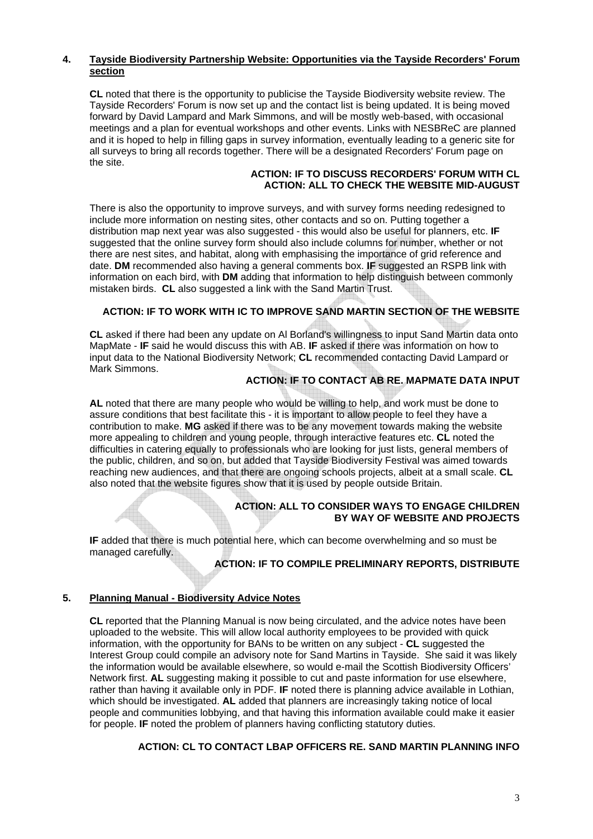# **4. Tayside Biodiversity Partnership Website: Opportunities via the Tayside Recorders' Forum section**

**CL** noted that there is the opportunity to publicise the Tayside Biodiversity website review. The Tayside Recorders' Forum is now set up and the contact list is being updated. It is being moved forward by David Lampard and Mark Simmons, and will be mostly web-based, with occasional meetings and a plan for eventual workshops and other events. Links with NESBReC are planned and it is hoped to help in filling gaps in survey information, eventually leading to a generic site for all surveys to bring all records together. There will be a designated Recorders' Forum page on the site.

# **ACTION: IF TO DISCUSS RECORDERS' FORUM WITH CL ACTION: ALL TO CHECK THE WEBSITE MID-AUGUST**

There is also the opportunity to improve surveys, and with survey forms needing redesigned to include more information on nesting sites, other contacts and so on. Putting together a distribution map next year was also suggested - this would also be useful for planners, etc. **IF** suggested that the online survey form should also include columns for number, whether or not there are nest sites, and habitat, along with emphasising the importance of grid reference and date. **DM** recommended also having a general comments box. **IF** suggested an RSPB link with information on each bird, with **DM** adding that information to help distinguish between commonly mistaken birds. **CL** also suggested a link with the Sand Martin Trust.

# **ACTION: IF TO WORK WITH IC TO IMPROVE SAND MARTIN SECTION OF THE WEBSITE**

**CL** asked if there had been any update on Al Borland's willingness to input Sand Martin data onto MapMate - **IF** said he would discuss this with AB. **IF** asked if there was information on how to input data to the National Biodiversity Network; **CL** recommended contacting David Lampard or Mark Simmons.

# **ACTION: IF TO CONTACT AB RE. MAPMATE DATA INPUT**

**AL** noted that there are many people who would be willing to help, and work must be done to assure conditions that best facilitate this - it is important to allow people to feel they have a contribution to make. **MG** asked if there was to be any movement towards making the website more appealing to children and young people, through interactive features etc. **CL** noted the difficulties in catering equally to professionals who are looking for just lists, general members of the public, children, and so on, but added that Tayside Biodiversity Festival was aimed towards reaching new audiences, and that there are ongoing schools projects, albeit at a small scale. **CL** also noted that the website figures show that it is used by people outside Britain.

#### **ACTION: ALL TO CONSIDER WAYS TO ENGAGE CHILDREN BY WAY OF WEBSITE AND PROJECTS**

**IF** added that there is much potential here, which can become overwhelming and so must be managed carefully.

# **ACTION: IF TO COMPILE PRELIMINARY REPORTS, DISTRIBUTE**

# **5. Planning Manual - Biodiversity Advice Notes**

**CL** reported that the Planning Manual is now being circulated, and the advice notes have been uploaded to the website. This will allow local authority employees to be provided with quick information, with the opportunity for BANs to be written on any subject - **CL** suggested the Interest Group could compile an advisory note for Sand Martins in Tayside. She said it was likely the information would be available elsewhere, so would e-mail the Scottish Biodiversity Officers' Network first. **AL** suggesting making it possible to cut and paste information for use elsewhere, rather than having it available only in PDF. **IF** noted there is planning advice available in Lothian, which should be investigated. **AL** added that planners are increasingly taking notice of local people and communities lobbying, and that having this information available could make it easier for people. **IF** noted the problem of planners having conflicting statutory duties.

# **ACTION: CL TO CONTACT LBAP OFFICERS RE. SAND MARTIN PLANNING INFO**